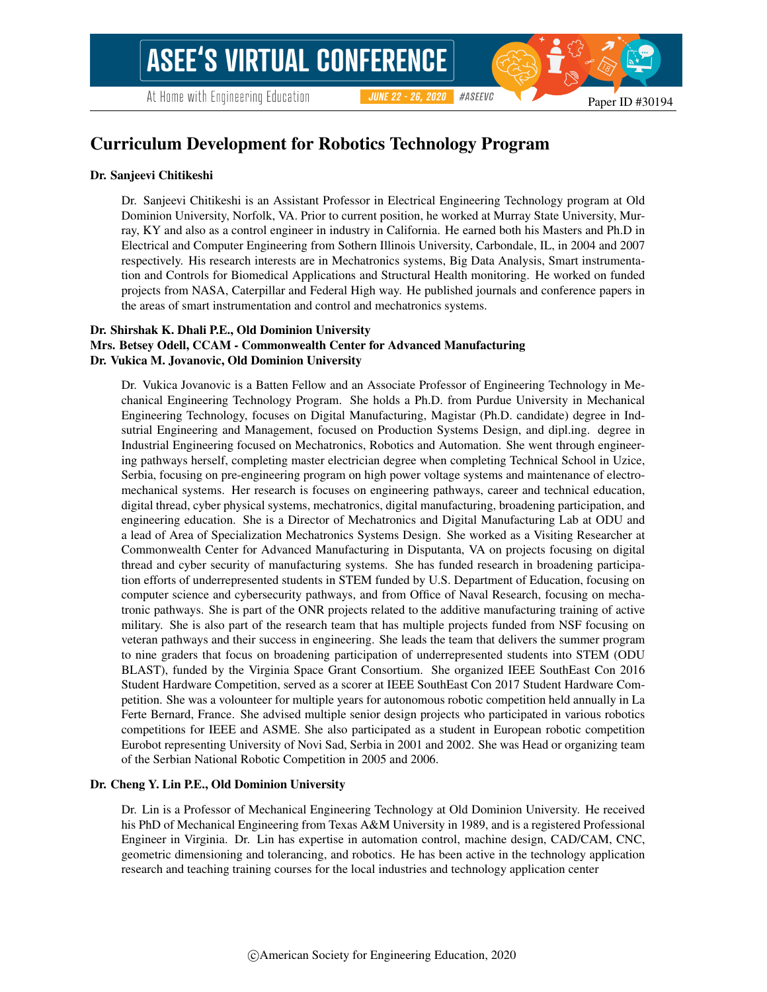#ASEEVC **JUNE 22 - 26, 2020** 

# Curriculum Development for Robotics Technology Program

#### Dr. Sanjeevi Chitikeshi

Dr. Sanjeevi Chitikeshi is an Assistant Professor in Electrical Engineering Technology program at Old Dominion University, Norfolk, VA. Prior to current position, he worked at Murray State University, Murray, KY and also as a control engineer in industry in California. He earned both his Masters and Ph.D in Electrical and Computer Engineering from Sothern Illinois University, Carbondale, IL, in 2004 and 2007 respectively. His research interests are in Mechatronics systems, Big Data Analysis, Smart instrumentation and Controls for Biomedical Applications and Structural Health monitoring. He worked on funded projects from NASA, Caterpillar and Federal High way. He published journals and conference papers in the areas of smart instrumentation and control and mechatronics systems.

### Dr. Shirshak K. Dhali P.E., Old Dominion University

### Mrs. Betsey Odell, CCAM - Commonwealth Center for Advanced Manufacturing Dr. Vukica M. Jovanovic, Old Dominion University

Dr. Vukica Jovanovic is a Batten Fellow and an Associate Professor of Engineering Technology in Mechanical Engineering Technology Program. She holds a Ph.D. from Purdue University in Mechanical Engineering Technology, focuses on Digital Manufacturing, Magistar (Ph.D. candidate) degree in Indsutrial Engineering and Management, focused on Production Systems Design, and dipl.ing. degree in Industrial Engineering focused on Mechatronics, Robotics and Automation. She went through engineering pathways herself, completing master electrician degree when completing Technical School in Uzice, Serbia, focusing on pre-engineering program on high power voltage systems and maintenance of electromechanical systems. Her research is focuses on engineering pathways, career and technical education, digital thread, cyber physical systems, mechatronics, digital manufacturing, broadening participation, and engineering education. She is a Director of Mechatronics and Digital Manufacturing Lab at ODU and a lead of Area of Specialization Mechatronics Systems Design. She worked as a Visiting Researcher at Commonwealth Center for Advanced Manufacturing in Disputanta, VA on projects focusing on digital thread and cyber security of manufacturing systems. She has funded research in broadening participation efforts of underrepresented students in STEM funded by U.S. Department of Education, focusing on computer science and cybersecurity pathways, and from Office of Naval Research, focusing on mechatronic pathways. She is part of the ONR projects related to the additive manufacturing training of active military. She is also part of the research team that has multiple projects funded from NSF focusing on veteran pathways and their success in engineering. She leads the team that delivers the summer program to nine graders that focus on broadening participation of underrepresented students into STEM (ODU BLAST), funded by the Virginia Space Grant Consortium. She organized IEEE SouthEast Con 2016 Student Hardware Competition, served as a scorer at IEEE SouthEast Con 2017 Student Hardware Competition. She was a volounteer for multiple years for autonomous robotic competition held annually in La Ferte Bernard, France. She advised multiple senior design projects who participated in various robotics competitions for IEEE and ASME. She also participated as a student in European robotic competition Eurobot representing University of Novi Sad, Serbia in 2001 and 2002. She was Head or organizing team of the Serbian National Robotic Competition in 2005 and 2006.

#### Dr. Cheng Y. Lin P.E., Old Dominion University

Dr. Lin is a Professor of Mechanical Engineering Technology at Old Dominion University. He received his PhD of Mechanical Engineering from Texas A&M University in 1989, and is a registered Professional Engineer in Virginia. Dr. Lin has expertise in automation control, machine design, CAD/CAM, CNC, geometric dimensioning and tolerancing, and robotics. He has been active in the technology application research and teaching training courses for the local industries and technology application center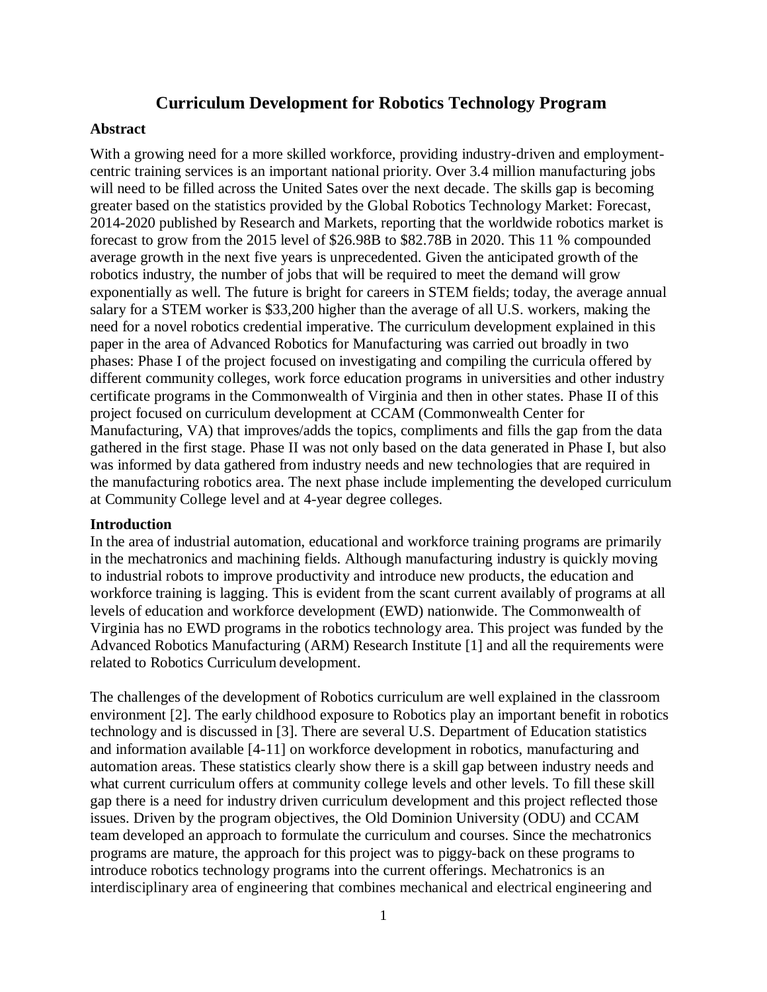# **Curriculum Development for Robotics Technology Program**

#### **Abstract**

With a growing need for a more skilled workforce, providing industry-driven and employmentcentric training services is an important national priority. Over 3.4 million manufacturing jobs will need to be filled across the United Sates over the next decade. The skills gap is becoming greater based on the statistics provided by the Global Robotics Technology Market: Forecast, 2014-2020 published by Research and Markets, reporting that the worldwide robotics market is forecast to grow from the 2015 level of \$26.98B to \$82.78B in 2020. This 11 % compounded average growth in the next five years is unprecedented. Given the anticipated growth of the robotics industry, the number of jobs that will be required to meet the demand will grow exponentially as well. The future is bright for careers in STEM fields; today, the average annual salary for a STEM worker is \$33,200 higher than the average of all U.S. workers, making the need for a novel robotics credential imperative. The curriculum development explained in this paper in the area of Advanced Robotics for Manufacturing was carried out broadly in two phases: Phase I of the project focused on investigating and compiling the curricula offered by different community colleges, work force education programs in universities and other industry certificate programs in the Commonwealth of Virginia and then in other states. Phase II of this project focused on curriculum development at CCAM (Commonwealth Center for Manufacturing, VA) that improves/adds the topics, compliments and fills the gap from the data gathered in the first stage. Phase II was not only based on the data generated in Phase I, but also was informed by data gathered from industry needs and new technologies that are required in the manufacturing robotics area. The next phase include implementing the developed curriculum at Community College level and at 4-year degree colleges.

#### **Introduction**

In the area of industrial automation, educational and workforce training programs are primarily in the mechatronics and machining fields. Although manufacturing industry is quickly moving to industrial robots to improve productivity and introduce new products, the education and workforce training is lagging. This is evident from the scant current availably of programs at all levels of education and workforce development (EWD) nationwide. The Commonwealth of Virginia has no EWD programs in the robotics technology area. This project was funded by the Advanced Robotics Manufacturing (ARM) Research Institute [1] and all the requirements were related to Robotics Curriculum development.

The challenges of the development of Robotics curriculum are well explained in the classroom environment [2]. The early childhood exposure to Robotics play an important benefit in robotics technology and is discussed in [3]. There are several U.S. Department of Education statistics and information available [4-11] on workforce development in robotics, manufacturing and automation areas. These statistics clearly show there is a skill gap between industry needs and what current curriculum offers at community college levels and other levels. To fill these skill gap there is a need for industry driven curriculum development and this project reflected those issues. Driven by the program objectives, the Old Dominion University (ODU) and CCAM team developed an approach to formulate the curriculum and courses. Since the mechatronics programs are mature, the approach for this project was to piggy-back on these programs to introduce robotics technology programs into the current offerings. Mechatronics is an interdisciplinary area of engineering that combines mechanical and electrical engineering and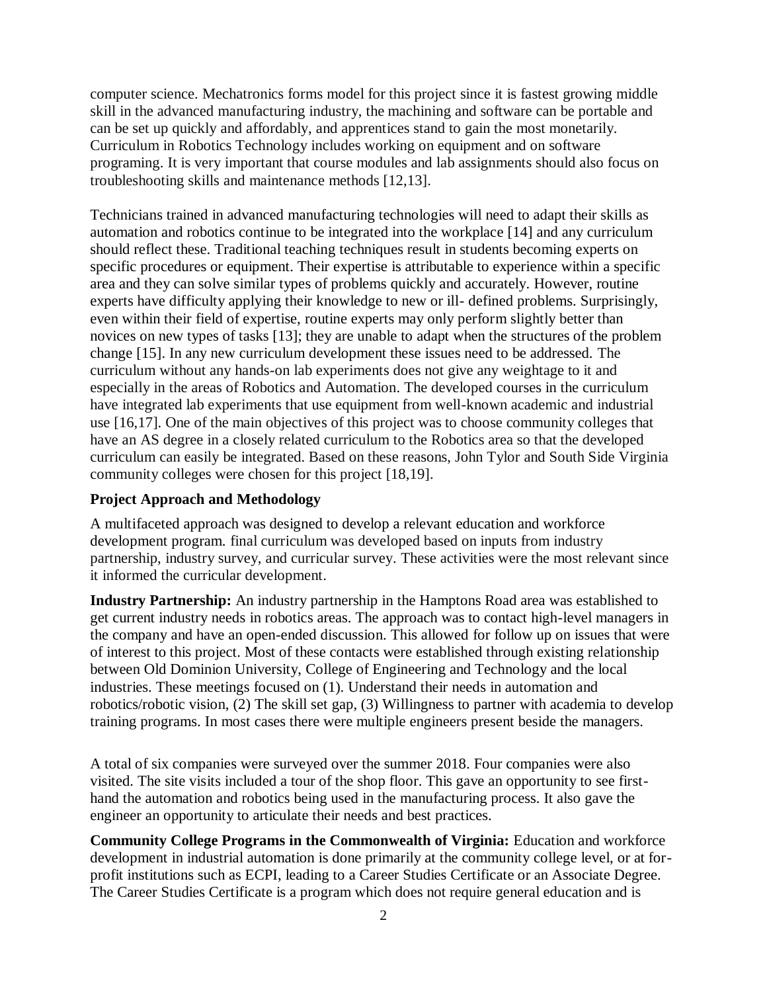computer science. Mechatronics forms model for this project since it is fastest growing middle skill in the advanced manufacturing industry, the machining and software can be portable and can be set up quickly and affordably, and apprentices stand to gain the most monetarily. Curriculum in Robotics Technology includes working on equipment and on software programing. It is very important that course modules and lab assignments should also focus on troubleshooting skills and maintenance methods [12,13].

Technicians trained in advanced manufacturing technologies will need to adapt their skills as automation and robotics continue to be integrated into the workplace [14] and any curriculum should reflect these. Traditional teaching techniques result in students becoming experts on specific procedures or equipment. Their expertise is attributable to experience within a specific area and they can solve similar types of problems quickly and accurately. However, routine experts have difficulty applying their knowledge to new or ill- defined problems. Surprisingly, even within their field of expertise, routine experts may only perform slightly better than novices on new types of tasks [13]; they are unable to adapt when the structures of the problem change [15]. In any new curriculum development these issues need to be addressed. The curriculum without any hands-on lab experiments does not give any weightage to it and especially in the areas of Robotics and Automation. The developed courses in the curriculum have integrated lab experiments that use equipment from well-known academic and industrial use [16,17]. One of the main objectives of this project was to choose community colleges that have an AS degree in a closely related curriculum to the Robotics area so that the developed curriculum can easily be integrated. Based on these reasons, John Tylor and South Side Virginia community colleges were chosen for this project [18,19].

## **Project Approach and Methodology**

A multifaceted approach was designed to develop a relevant education and workforce development program. final curriculum was developed based on inputs from industry partnership, industry survey, and curricular survey. These activities were the most relevant since it informed the curricular development.

**Industry Partnership:** An industry partnership in the Hamptons Road area was established to get current industry needs in robotics areas. The approach was to contact high-level managers in the company and have an open-ended discussion. This allowed for follow up on issues that were of interest to this project. Most of these contacts were established through existing relationship between Old Dominion University, College of Engineering and Technology and the local industries. These meetings focused on (1). Understand their needs in automation and robotics/robotic vision, (2) The skill set gap, (3) Willingness to partner with academia to develop training programs. In most cases there were multiple engineers present beside the managers.

A total of six companies were surveyed over the summer 2018. Four companies were also visited. The site visits included a tour of the shop floor. This gave an opportunity to see firsthand the automation and robotics being used in the manufacturing process. It also gave the engineer an opportunity to articulate their needs and best practices.

**Community College Programs in the Commonwealth of Virginia:** Education and workforce development in industrial automation is done primarily at the community college level, or at forprofit institutions such as ECPI, leading to a Career Studies Certificate or an Associate Degree. The Career Studies Certificate is a program which does not require general education and is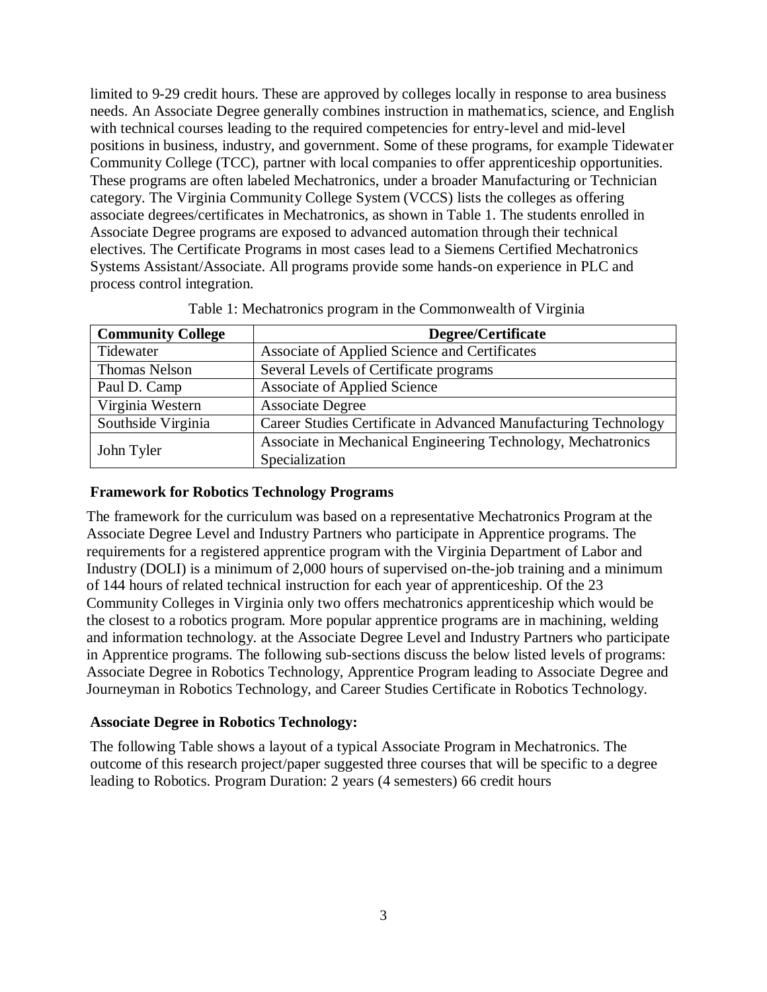limited to 9-29 credit hours. These are approved by colleges locally in response to area business needs. An Associate Degree generally combines instruction in mathematics, science, and English with technical courses leading to the required competencies for entry-level and mid-level positions in business, industry, and government. Some of these programs, for example Tidewater Community College (TCC), partner with local companies to offer apprenticeship opportunities. These programs are often labeled Mechatronics, under a broader Manufacturing or Technician category. The Virginia Community College System (VCCS) lists the colleges as offering associate degrees/certificates in Mechatronics, as shown in Table 1. The students enrolled in Associate Degree programs are exposed to advanced automation through their technical electives. The Certificate Programs in most cases lead to a Siemens Certified Mechatronics Systems Assistant/Associate. All programs provide some hands-on experience in PLC and process control integration.

| <b>Community College</b> | Degree/Certificate                                              |
|--------------------------|-----------------------------------------------------------------|
| Tidewater                | Associate of Applied Science and Certificates                   |
| <b>Thomas Nelson</b>     | Several Levels of Certificate programs                          |
| Paul D. Camp             | <b>Associate of Applied Science</b>                             |
| Virginia Western         | <b>Associate Degree</b>                                         |
| Southside Virginia       | Career Studies Certificate in Advanced Manufacturing Technology |
| John Tyler               | Associate in Mechanical Engineering Technology, Mechatronics    |
|                          | Specialization                                                  |

|  | Table 1: Mechatronics program in the Commonwealth of Virginia |  |  |  |
|--|---------------------------------------------------------------|--|--|--|
|--|---------------------------------------------------------------|--|--|--|

## **Framework for Robotics Technology Programs**

The framework for the curriculum was based on a representative Mechatronics Program at the Associate Degree Level and Industry Partners who participate in Apprentice programs. The requirements for a registered apprentice program with the Virginia Department of Labor and Industry (DOLI) is a minimum of 2,000 hours of supervised on-the-job training and a minimum of 144 hours of related technical instruction for each year of apprenticeship. Of the 23 Community Colleges in Virginia only two offers mechatronics apprenticeship which would be the closest to a robotics program. More popular apprentice programs are in machining, welding and information technology. at the Associate Degree Level and Industry Partners who participate in Apprentice programs. The following sub-sections discuss the below listed levels of programs: Associate Degree in Robotics Technology, Apprentice Program leading to Associate Degree and Journeyman in Robotics Technology, and Career Studies Certificate in Robotics Technology.

## **Associate Degree in Robotics Technology:**

The following Table shows a layout of a typical Associate Program in Mechatronics. The outcome of this research project/paper suggested three courses that will be specific to a degree leading to Robotics. Program Duration: 2 years (4 semesters) 66 credit hours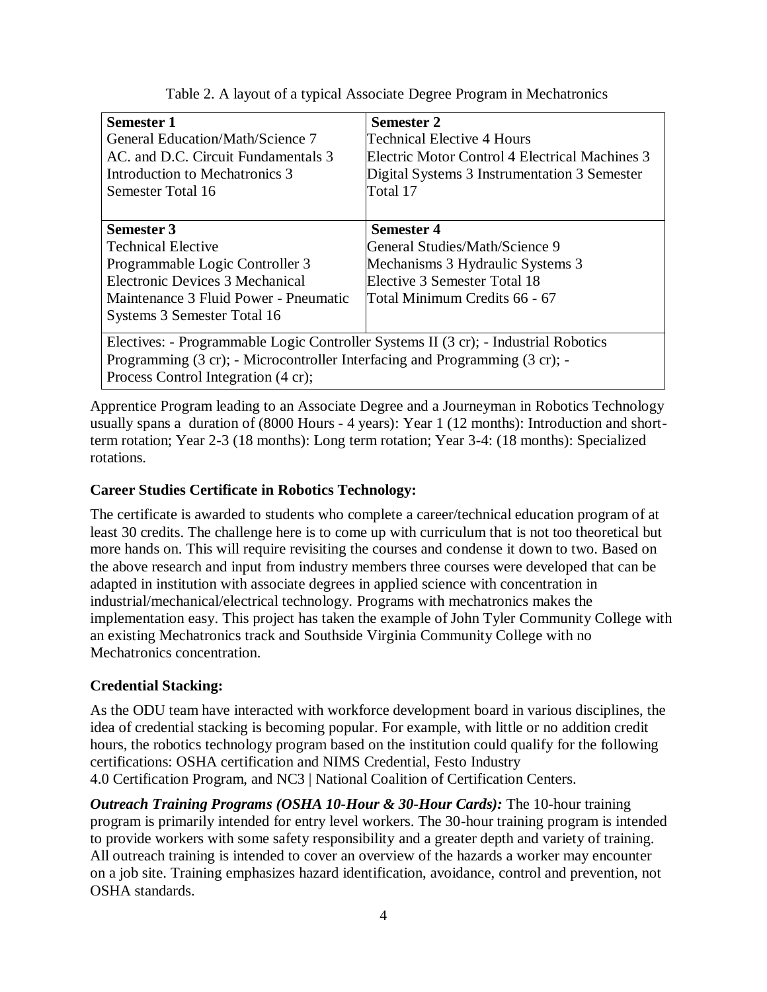| <b>Semester 1</b>                                                                   | Semester 2                                     |  |  |  |
|-------------------------------------------------------------------------------------|------------------------------------------------|--|--|--|
| General Education/Math/Science 7                                                    | Technical Elective 4 Hours                     |  |  |  |
| AC. and D.C. Circuit Fundamentals 3                                                 | Electric Motor Control 4 Electrical Machines 3 |  |  |  |
| Introduction to Mechatronics 3                                                      | Digital Systems 3 Instrumentation 3 Semester   |  |  |  |
| Semester Total 16                                                                   | Total 17                                       |  |  |  |
|                                                                                     |                                                |  |  |  |
| <b>Semester 3</b>                                                                   | <b>Semester 4</b>                              |  |  |  |
| <b>Technical Elective</b>                                                           | General Studies/Math/Science 9                 |  |  |  |
| Programmable Logic Controller 3                                                     | Mechanisms 3 Hydraulic Systems 3               |  |  |  |
| Electronic Devices 3 Mechanical                                                     | Elective 3 Semester Total 18                   |  |  |  |
| Maintenance 3 Fluid Power - Pneumatic                                               | Total Minimum Credits 66 - 67                  |  |  |  |
| Systems 3 Semester Total 16                                                         |                                                |  |  |  |
|                                                                                     |                                                |  |  |  |
| Electives: - Programmable Logic Controller Systems II (3 cr); - Industrial Robotics |                                                |  |  |  |
| Programming (3 cr); - Microcontroller Interfacing and Programming (3 cr); -         |                                                |  |  |  |
| Process Control Integration (4 cr);                                                 |                                                |  |  |  |

Table 2. A layout of a typical Associate Degree Program in Mechatronics

Apprentice Program leading to an Associate Degree and a Journeyman in Robotics Technology usually spans a duration of (8000 Hours - 4 years): Year 1 (12 months): Introduction and shortterm rotation; Year 2-3 (18 months): Long term rotation; Year 3-4: (18 months): Specialized rotations.

# **Career Studies Certificate in Robotics Technology:**

The certificate is awarded to students who complete a career/technical education program of at least 30 credits. The challenge here is to come up with curriculum that is not too theoretical but more hands on. This will require revisiting the courses and condense it down to two. Based on the above research and input from industry members three courses were developed that can be adapted in institution with associate degrees in applied science with concentration in industrial/mechanical/electrical technology. Programs with mechatronics makes the implementation easy. This project has taken the example of John Tyler Community College with an existing Mechatronics track and Southside Virginia Community College with no Mechatronics concentration.

# **Credential Stacking:**

As the ODU team have interacted with workforce development board in various disciplines, the idea of credential stacking is becoming popular. For example, with little or no addition credit hours, the robotics technology program based on the institution could qualify for the following certifications: OSHA certification and NIMS Credential, Festo Industry 4.0 Certification Program, and NC3 | National Coalition of Certification Centers.

*Outreach Training Programs (OSHA 10-Hour & 30-Hour Cards):* The 10-hour training program is primarily intended for entry level workers. The 30-hour training program is intended to provide workers with some safety responsibility and a greater depth and variety of training. All outreach training is intended to cover an overview of the hazards a worker may encounter on a job site. Training emphasizes hazard identification, avoidance, control and prevention, not OSHA standards.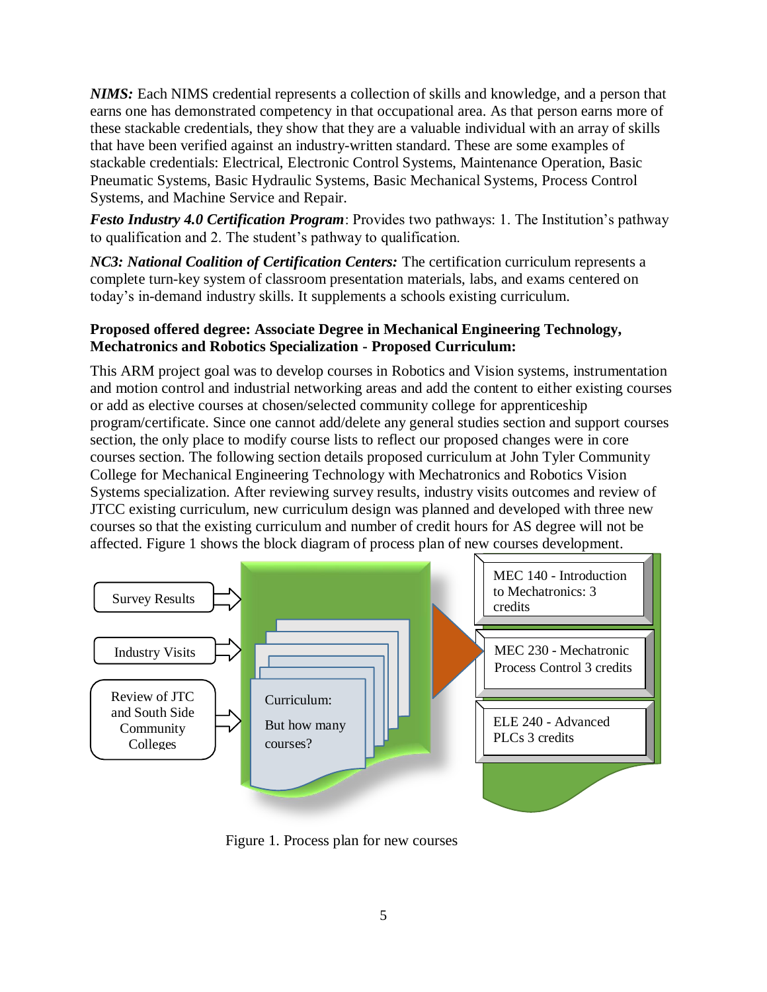*NIMS:* Each NIMS credential represents a collection of skills and knowledge, and a person that earns one has demonstrated competency in that occupational area. As that person earns more of these stackable credentials, they show that they are a valuable individual with an array of skills that have been verified against an industry-written standard. These are some examples of stackable credentials: Electrical, Electronic Control Systems, Maintenance Operation, Basic Pneumatic Systems, Basic Hydraulic Systems, Basic Mechanical Systems, Process Control Systems, and Machine Service and Repair.

*Festo Industry 4.0 Certification Program*: Provides two pathways: 1. The Institution's pathway to qualification and 2. The student's pathway to qualification.

*NC3: National Coalition of Certification Centers:* The certification curriculum represents a complete turn-key system of classroom presentation materials, labs, and exams centered on today's in-demand industry skills. It supplements a schools existing curriculum.

# **Proposed offered degree: Associate Degree in Mechanical Engineering Technology, Mechatronics and Robotics Specialization - Proposed Curriculum:**

This ARM project goal was to develop courses in Robotics and Vision systems, instrumentation and motion control and industrial networking areas and add the content to either existing courses or add as elective courses at chosen/selected community college for apprenticeship program/certificate. Since one cannot add/delete any general studies section and support courses section, the only place to modify course lists to reflect our proposed changes were in core courses section. The following section details proposed curriculum at John Tyler Community College for Mechanical Engineering Technology with Mechatronics and Robotics Vision Systems specialization. After reviewing survey results, industry visits outcomes and review of JTCC existing curriculum, new curriculum design was planned and developed with three new courses so that the existing curriculum and number of credit hours for AS degree will not be affected. Figure 1 shows the block diagram of process plan of new courses development.



Figure 1. Process plan for new courses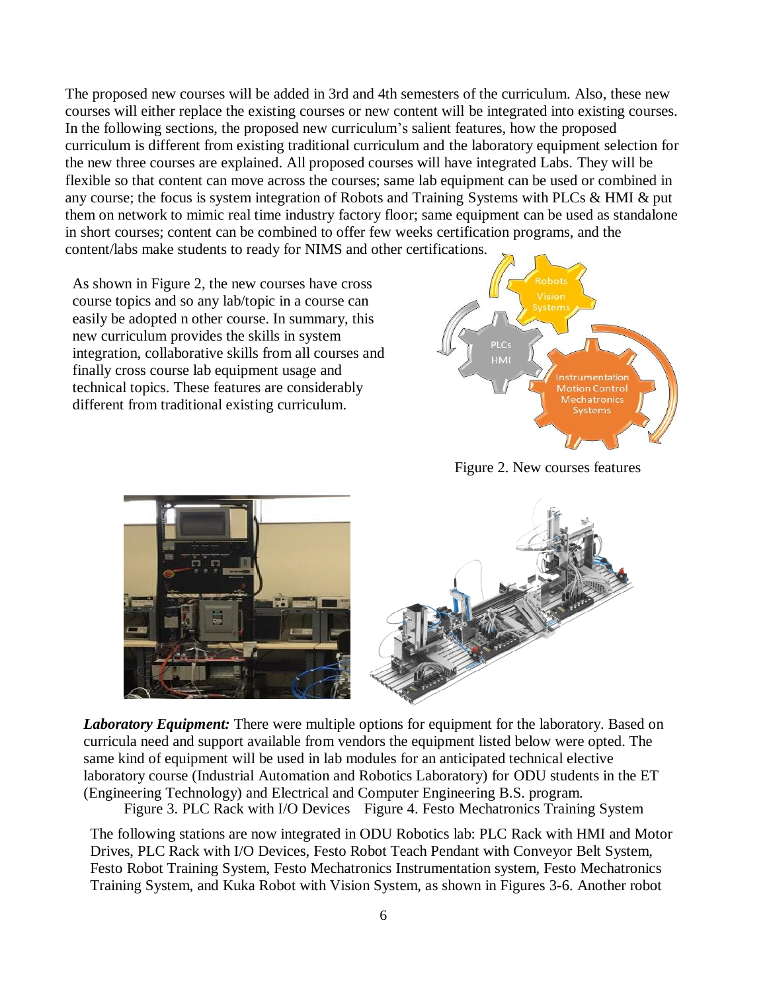The proposed new courses will be added in 3rd and 4th semesters of the curriculum. Also, these new courses will either replace the existing courses or new content will be integrated into existing courses. In the following sections, the proposed new curriculum's salient features, how the proposed curriculum is different from existing traditional curriculum and the laboratory equipment selection for the new three courses are explained. All proposed courses will have integrated Labs. They will be flexible so that content can move across the courses; same lab equipment can be used or combined in any course; the focus is system integration of Robots and Training Systems with PLCs & HMI & put them on network to mimic real time industry factory floor; same equipment can be used as standalone in short courses; content can be combined to offer few weeks certification programs, and the content/labs make students to ready for NIMS and other certifications.

As shown in Figure 2, the new courses have cross course topics and so any lab/topic in a course can easily be adopted n other course. In summary, this new curriculum provides the skills in system integration, collaborative skills from all courses and finally cross course lab equipment usage and technical topics. These features are considerably different from traditional existing curriculum.



Figure 2. New courses features



*Laboratory Equipment:* There were multiple options for equipment for the laboratory. Based on curricula need and support available from vendors the equipment listed below were opted. The same kind of equipment will be used in lab modules for an anticipated technical elective laboratory course (Industrial Automation and Robotics Laboratory) for ODU students in the ET (Engineering Technology) and Electrical and Computer Engineering B.S. program.

Figure 3. PLC Rack with I/O Devices Figure 4. Festo Mechatronics Training System

The following stations are now integrated in ODU Robotics lab: PLC Rack with HMI and Motor Drives, PLC Rack with I/O Devices, Festo Robot Teach Pendant with Conveyor Belt System, Festo Robot Training System, Festo Mechatronics Instrumentation system, Festo Mechatronics Training System, and Kuka Robot with Vision System, as shown in Figures 3-6. Another robot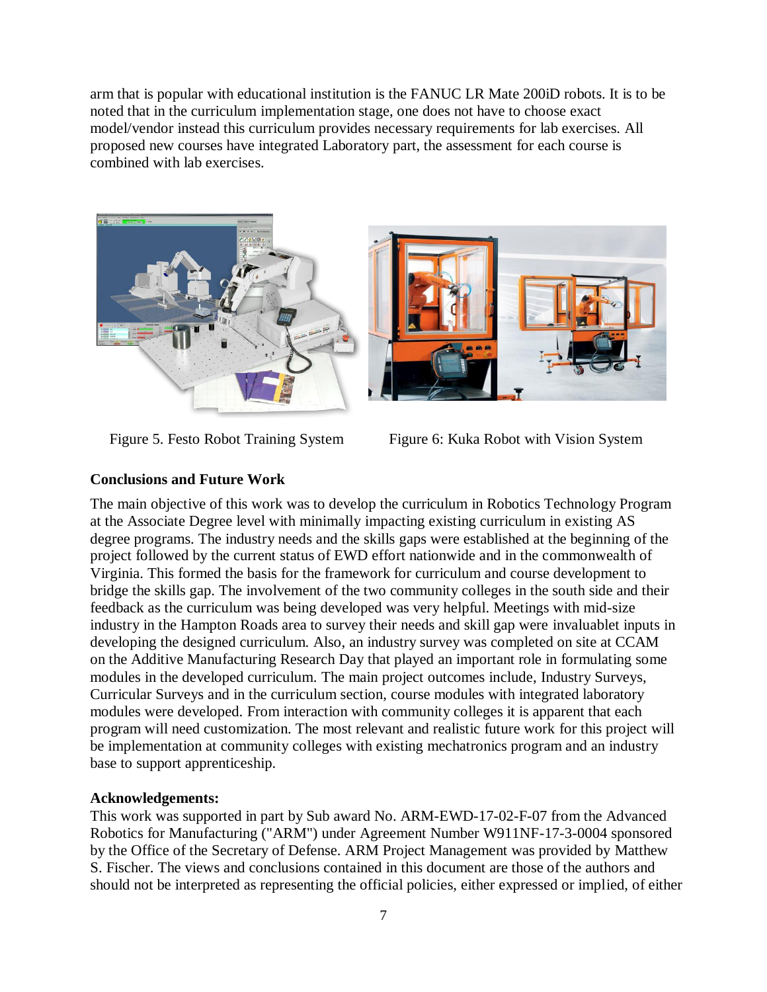arm that is popular with educational institution is the FANUC LR Mate 200iD robots. It is to be noted that in the curriculum implementation stage, one does not have to choose exact model/vendor instead this curriculum provides necessary requirements for lab exercises. All proposed new courses have integrated Laboratory part, the assessment for each course is combined with lab exercises.





Figure 5. Festo Robot Training System Figure 6: Kuka Robot with Vision System

# **Conclusions and Future Work**

The main objective of this work was to develop the curriculum in Robotics Technology Program at the Associate Degree level with minimally impacting existing curriculum in existing AS degree programs. The industry needs and the skills gaps were established at the beginning of the project followed by the current status of EWD effort nationwide and in the commonwealth of Virginia. This formed the basis for the framework for curriculum and course development to bridge the skills gap. The involvement of the two community colleges in the south side and their feedback as the curriculum was being developed was very helpful. Meetings with mid-size industry in the Hampton Roads area to survey their needs and skill gap were invaluablet inputs in developing the designed curriculum. Also, an industry survey was completed on site at CCAM on the Additive Manufacturing Research Day that played an important role in formulating some modules in the developed curriculum. The main project outcomes include, Industry Surveys, Curricular Surveys and in the curriculum section, course modules with integrated laboratory modules were developed. From interaction with community colleges it is apparent that each program will need customization. The most relevant and realistic future work for this project will be implementation at community colleges with existing mechatronics program and an industry base to support apprenticeship.

## **Acknowledgements:**

This work was supported in part by Sub award No. ARM-EWD-17-02-F-07 from the Advanced Robotics for Manufacturing ("ARM") under Agreement Number W911NF-17-3-0004 sponsored by the Office of the Secretary of Defense. ARM Project Management was provided by Matthew S. Fischer. The views and conclusions contained in this document are those of the authors and should not be interpreted as representing the official policies, either expressed or implied, of either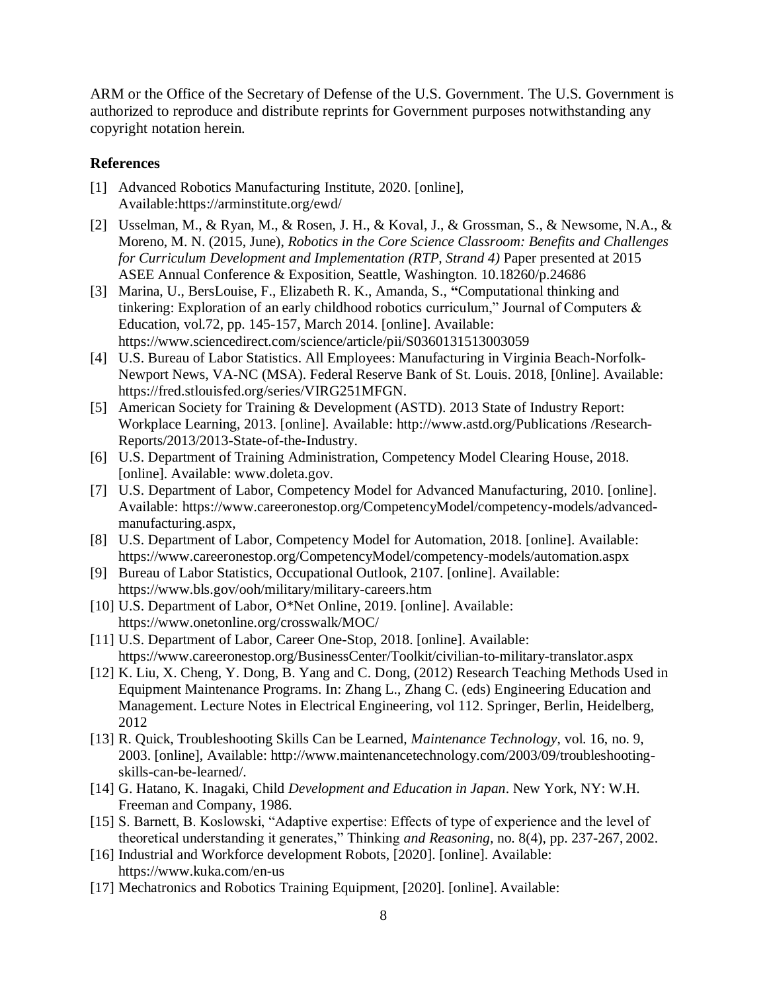ARM or the Office of the Secretary of Defense of the U.S. Government. The U.S. Government is authorized to reproduce and distribute reprints for Government purposes notwithstanding any copyright notation herein*.*

## **References**

- [1] Advanced Robotics Manufacturing Institute, 2020. [online], Available:https://arminstitute.org/ewd/
- [2] Usselman, M., & Ryan, M., & Rosen, J. H., & Koval, J., & Grossman, S., & Newsome, N.A., & Moreno, M. N. (2015, June), *Robotics in the Core Science Classroom: Benefits and Challenges for Curriculum Development and Implementation (RTP, Strand 4)* Paper presented at 2015 ASEE Annual Conference & Exposition, Seattle, Washington. 10.18260/p.24686
- [3] Marina, U., BersLouise, F., Elizabeth R. K., Amanda, S., **"**Computational thinking and tinkering: Exploration of an early childhood robotics curriculum," Journal of Computers & Education, vol.72, pp. 145-157, March 2014. [online]. Available: https:[//www.sciencedirect.com/science/article/pii/S0360131513003059](http://www.sciencedirect.com/science/article/pii/S0360131513003059)
- [4] U.S. Bureau of Labor Statistics. All Employees: Manufacturing in Virginia Beach-Norfolk-Newport News, VA-NC (MSA). Federal Reserve Bank of St. Louis. 2018, [0nline]. Available: https://fred.stlouisfed.org/series/VIRG251MFGN.
- [5] American Society for Training & Development (ASTD). 2013 State of Industry Report: Workplace Learning, 2013. [online]. Available: [http://www.astd.org/Publications /](http://www.astd.org/Publications)Research-Reports/2013/2013-State-of-the-Industry.
- [6] U.S. Department of Training Administration, Competency Model Clearing House, 2018. [online]. Available: [www.doleta.gov.](http://www.doleta.gov/)
- [7] U.S. Department of Labor, Competency Model for Advanced Manufacturing, 2010. [online]. Available: https:[//www.careeronestop.org/CompetencyModel/competency-models/advanced](http://www.careeronestop.org/CompetencyModel/competency-models/advanced-)manufacturing.aspx,
- [8] U.S. Department of Labor, Competency Model for Automation, 2018. [online]. Available: https:[//www.careeronestop.org/CompetencyModel/competency-models/automation.aspx](http://www.careeronestop.org/CompetencyModel/competency-models/automation.aspx)
- [9] Bureau of Labor Statistics, Occupational Outlook, 2107. [online]. Available: https:[//www.bls.gov/ooh/military/military-careers.htm](http://www.bls.gov/ooh/military/military-careers.htm)
- [10] U.S. Department of Labor, O\*Net Online, 2019. [online]. Available: https:[//www.onetonline.org/crosswalk/MOC/](http://www.onetonline.org/crosswalk/MOC/)
- [11] U.S. Department of Labor, Career One-Stop, 2018. [online]. Available: https:[//www.careeronestop.org/BusinessCenter/Toolkit/civilian-to-military-translator.aspx](http://www.careeronestop.org/BusinessCenter/Toolkit/civilian-to-military-translator.aspx)
- [12] K. Liu, X. Cheng, Y. Dong, B. Yang and C. Dong, (2012) Research Teaching Methods Used in Equipment Maintenance Programs. In: Zhang L., Zhang C. (eds) Engineering Education and Management. Lecture Notes in Electrical Engineering, vol 112. Springer, Berlin, Heidelberg, 2012
- [13] R. Quick, Troubleshooting Skills Can be Learned, *Maintenance Technology*, vol. 16, no. 9, 2003. [online], Available: [http://www.maintenancetechnology.com/2003/09/troubleshooting](http://www.maintenancetechnology.com/2003/09/troubleshooting-)skills-can-be-learned/.
- [14] G. Hatano, K. Inagaki, Child *Development and Education in Japan*. New York, NY: W.H. Freeman and Company, 1986.
- [15] S. Barnett, B. Koslowski, "Adaptive expertise: Effects of type of experience and the level of theoretical understanding it generates," Thinking *and Reasoning,* no. 8(4), pp. 237-267, 2002.
- [16] Industrial and Workforce development Robots, [2020]. [online]. Available: https:[//www.kuka.com/en-us](http://www.kuka.com/en-us)
- [17] Mechatronics and Robotics Training Equipment, [2020]. [online]. Available: